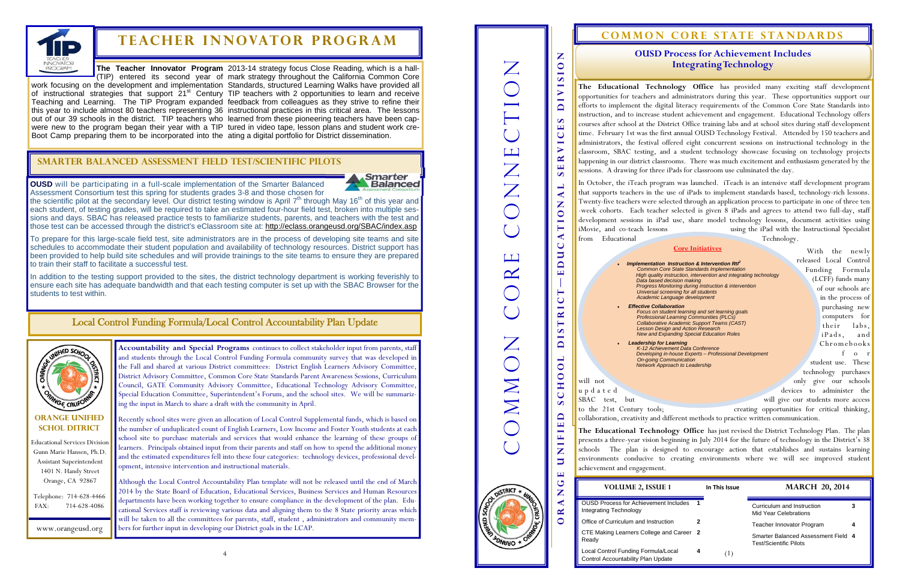

## $$

4



Educational Services Division Gunn Marie Hansen, Ph.D. Assistant Superintendent 1401 N. Handy Street Orange, CA 92867

Telephone: 714-628-4466 FAX: 714-628-4086

## **Orange unified schol ditrict**

**OUSD** will be participating in a full-scale implementation of the Smarter Balanced Assessment Consortium test this spring for students grades 3-8 and those chosen for



the scientific pilot at the secondary level. Our district testing window is April  $7<sup>th</sup>$  through May 16<sup>th</sup> of this year and each student, of testing grades, will be required to take an estimated four-hour field test, broken into multiple sessions and days. SBAC has released practice tests to familiarize students, parents, and teachers with the test and those test can be accessed through the district's eClassroom site at: http://eclass.orangeusd.org/SBAC/index.asp

www.orangeusd.org

To prepare for this large-scale field test, site administrators are in the process of developing site teams and site schedules to accommodate their student population and availability of technology resources. District support has been provided to help build site schedules and will provide trainings to the site teams to ensure they are prepared to train their staff to facilitate a successful test.

In addition to the testing support provided to the sites, the district technology department is working feverishly to ensure each site has adequate bandwidth and that each testing computer is set up with the SBAC Browser for the students to test within.

## **Smarter Balanced Assessment Field Test/Scientific Pilots**

**The Teacher Innovator Program**  2013-14 strategy focus Close Reading, which is a hall-(TIP) entered its second year of mark strategy throughout the California Common Core

work focusing on the development and implementation Standards, structured Learning Walks have provided all of instructional strategies that support 21<sup>st</sup> Century TIP teachers with 2 opportunities to learn and receive Teaching and Learning. The TIP Program expanded feedback from colleagues as they strive to refine their this year to include almost 80 teachers representing 36 instructional practices in this critical area. The lessons out of our 39 schools in the district. TIP teachers who learned from these pioneering teachers have been capwere new to the program began their year with a TIP tured in video tape, lesson plans and student work cre-Boot Camp preparing them to be incorporated into the ating a digital portfolio for District dissemination.

## Local Control Funding Formula/Local Control Accountability Plan Update

**Accountability and Special Programs** continues to collect stakeholder input from parents, staff and students through the Local Control Funding Formula community survey that was developed in the Fall and shared at various District committees: District English Learners Advisory Committee, District Advisory Committee, Common Core State Standards Parent Awareness Sessions, Curriculum Council, GATE Community Advisory Committee, Educational Technology Advisory Committee, Special Education Committee, Superintendent's Forum, and the school sites. We will be summarizing the input in March to share a draft with the community in April.

 With the newly released Local Control Funding Formula (LCFF) funds many of our schools are in the process of purchasing new computers for their labs, iPads, and Chromebooks f <sup>o</sup> <sup>r</sup>student use. These technology purchases will not only give our schools and the contract of the contract of the contract of the contract of the contract of the contract of the contract of the contract of the contract of the contract of the contract of the contrac up d a t e d devices to administer the

to the 21st Century tools; creating opportunities for critical thinking, collaboration, creativity and different methods to practice written communication.

**Orange unified school district—e ducational services division**   $\mathbf{Z}$  $\overline{Z}$ Common core CONNECTION **OIVISIO**  $\boldsymbol{\omega}$  $\mathbf{\mathbf{\underline{u}}}$  $\bigcup$  $\qquad \qquad \blacksquare$ ONNE  $\blacktriangleright$  $\sim$  $\mathbf{H}$  $\boldsymbol{\omega}$  $\Box$  $\blacktriangleleft$ Z TIO  $\blacktriangleleft$ from Educational Technology.  $\bigcup$  $\overline{u}$  $\Box$  $\Box$  $\mathbb{R}$ ٠  $\mathbf{u}$  $\vdash$  $\bar{\mathbf{C}}$ RI  $\overline{\phantom{0}}$  $\bullet$  $\blacksquare$ OMMON  $\Box$  $\overline{\phantom{0}}$  $\bullet$  $\bullet$ H  $\bigcup$ SBAC test, but will give our students more access  $\boldsymbol{\omega}$ ED  $\overline{\phantom{a}}$  $\overline{\mathbf{H}}$ Z  $\overline{a}$ achievement and engagement.  $\overline{\mathbf{H}}$  $\bigcup$ 

DISTRICT

Z  $\blacktriangleleft$  $\mathbf{R}$  $\bullet$  **VOLUME 2, ISSUE** 

Recently school sites were given an allocation of Local Control Supplemental funds, which is based on the number of unduplicated count of English Learners, Low Income and Foster Youth students at each school site to purchase materials and services that would enhance the learning of these groups of learners. Principals obtained input from their parents and staff on how to spend the additional money and the estimated expenditures fell into these four categories: technology devices, professional development, intensive intervention and instructional materials.

> **OUSD Process for Achieveme** Integrating Technology

**Office of Curriculum and Instru** 

CTE Making Learners College Ready

Local Control Funding Formula Control Accountability Plan Up

## **COMMON CORE STATE STANDARDS**

Although the Local Control Accountability Plan template will not be released until the end of March 2014 by the State Board of Education, Educational Services, Business Services and Human Resources departments have been working together to ensure compliance in the development of the plan. Educational Services staff is reviewing various data and aligning them to the 8 State priority areas which will be taken to all the committees for parents, staff, student , administrators and community members for further input in developing our District goals in the LCAP.

**The Educational Technology Office** has provided many exciting staff development opportunities for teachers and administrators during this year. These opportunities support our efforts to implement the digital literacy requirements of the Common Core State Standards into instruction, and to increase student achievement and engagement. Educational Technology offers courses after school at the District Office training labs and at school sites during staff development time. February 1st was the first annual OUSD Technology Festival. Attended by 150 teachers and administrators, the festival offered eight concurrent sessions on instructional technology in the classroom, SBAC testing, and a student technology showcase focusing on technology projects happening in our district classrooms. There was much excitement and enthusiasm generated by the sessions. A drawing for three iPads for classroom use culminated the day.

In October, the iTeach program was launched. iTeach is an intensive staff development program that supports teachers in the use of iPads to implement standards based, technology-rich lessons. Twenty-five teachers were selected through an application process to participate in one of three ten -week cohorts. Each teacher selected is given 8 iPads and agrees to attend two full-day, staff development sessions in iPad use, share model technology lessons, document activities using iMovie, and co-teach lessons using the iPad with the Instructional Specialist

**The Educational Technology Office** has just revised the District Technology Plan. The plan presents a three-year vision beginning in July 2014 for the future of technology in the District's 38 schools The plan is designed to encourage action that establishes and sustains learning environments conducive to creating environments where we will see improved student

## **OUSD Process for Achievement Includes Integrating Technology**

## *Implementation Instruction & Intervention RtI2*

 *Common Core State Standards Implementation High quality instruction, intervention and integrating technology Data based decision making Progress Monitoring during instruction & intervention Universal screening for all students Academic Language development* 

#### *Effective Collaboration*

*Focus on student learning and set learning goals Professional Learning Communities (PLCs) Collaborative Academic Support Teams (CAST) Lesson Design and Action Research New and Expanding Special Education Roles* 

 *Leadership for Learning K-12 Achievement Data Conference Developing in-house Experts – Professional Development On-going Communication Network Approach to Leadership* 

#### **Core Initiatives**

| E 1            |  | In This Issue | <b>MARCH 20, 2014</b>                                                |   |
|----------------|--|---------------|----------------------------------------------------------------------|---|
| nt Includes    |  |               | Curriculum and Instruction<br><b>Mid Year Celebrations</b>           | з |
| ction          |  |               | <b>Teacher Innovator Program</b>                                     |   |
| and Career 2   |  |               | Smarter Balanced Assessment Field 4<br><b>Test/Scientific Pilots</b> |   |
| /Local<br>date |  |               |                                                                      |   |